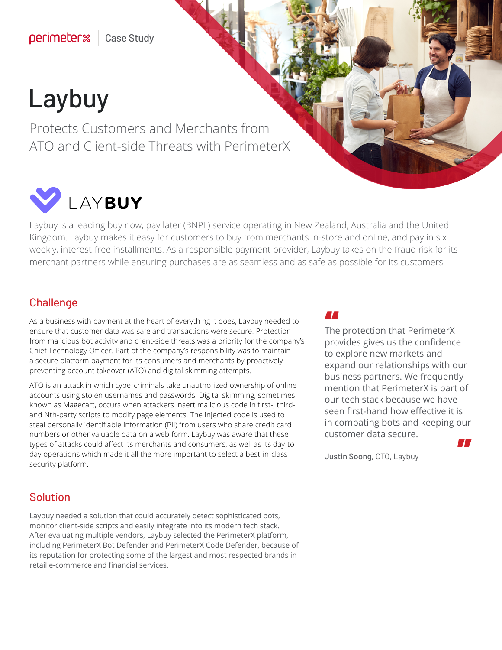# Laybuy

Protects Customers and Merchants from ATO and Client-side Threats with PerimeterX



Laybuy is a leading buy now, pay later (BNPL) service operating in New Zealand, Australia and the United Kingdom. Laybuy makes it easy for customers to buy from merchants in-store and online, and pay in six weekly, interest-free installments. As a responsible payment provider, Laybuy takes on the fraud risk for its merchant partners while ensuring purchases are as seamless and as safe as possible for its customers.

### **Challenge**

As a business with payment at the heart of everything it does, Laybuy needed to ensure that customer data was safe and transactions were secure. Protection from malicious bot activity and client-side threats was a priority for the company's Chief Technology Officer. Part of the company's responsibility was to maintain a secure platform payment for its consumers and merchants by proactively preventing account takeover (ATO) and digital skimming attempts.

ATO is an attack in which cybercriminals take unauthorized ownership of online accounts using stolen usernames and passwords. Digital skimming, sometimes known as Magecart, occurs when attackers insert malicious code in first-, thirdand Nth-party scripts to modify page elements. The injected code is used to steal personally identifiable information (PII) from users who share credit card numbers or other valuable data on a web form. Laybuy was aware that these types of attacks could affect its merchants and consumers, as well as its day-today operations which made it all the more important to select a best-in-class security platform.

**THE**<br>The protection that PerimeterX " provides gives us the confidence to explore new markets and expand our relationships with our business partners. We frequently mention that PerimeterX is part of our tech stack because we have seen first-hand how effective it is in combating bots and keeping our customer data secure.

Justin Soong, CTO, Laybuy

### Solution

Laybuy needed a solution that could accurately detect sophisticated bots, monitor client-side scripts and easily integrate into its modern tech stack. After evaluating multiple vendors, Laybuy selected the PerimeterX platform, including PerimeterX Bot Defender and PerimeterX Code Defender, because of its reputation for protecting some of the largest and most respected brands in retail e-commerce and financial services.